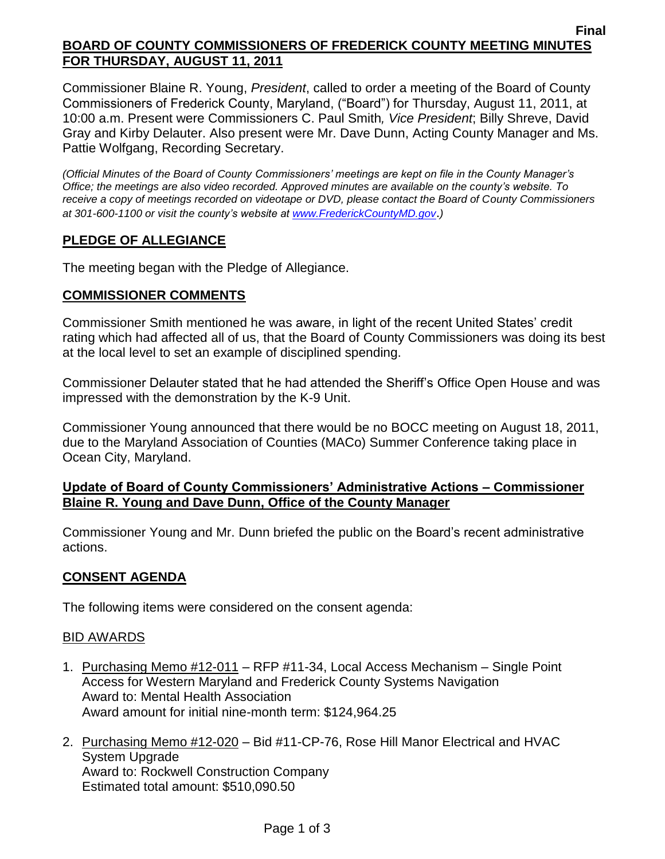#### **Final BOARD OF COUNTY COMMISSIONERS OF FREDERICK COUNTY MEETING MINUTES FOR THURSDAY, AUGUST 11, 2011**

Commissioner Blaine R. Young, *President*, called to order a meeting of the Board of County Commissioners of Frederick County, Maryland, ("Board") for Thursday, August 11, 2011, at 10:00 a.m. Present were Commissioners C. Paul Smith*, Vice President*; Billy Shreve, David Gray and Kirby Delauter. Also present were Mr. Dave Dunn, Acting County Manager and Ms. Pattie Wolfgang, Recording Secretary.

*(Official Minutes of the Board of County Commissioners' meetings are kept on file in the County Manager's Office; the meetings are also video recorded. Approved minutes are available on the county's website. To receive a copy of meetings recorded on videotape or DVD, please contact the Board of County Commissioners at 301-600-1100 or visit the county's website at [www.FrederickCountyMD.gov](http://www.frederickcountymd.gov/)*.*)*

# **PLEDGE OF ALLEGIANCE**

The meeting began with the Pledge of Allegiance.

### **COMMISSIONER COMMENTS**

Commissioner Smith mentioned he was aware, in light of the recent United States' credit rating which had affected all of us, that the Board of County Commissioners was doing its best at the local level to set an example of disciplined spending.

Commissioner Delauter stated that he had attended the Sheriff's Office Open House and was impressed with the demonstration by the K-9 Unit.

Commissioner Young announced that there would be no BOCC meeting on August 18, 2011, due to the Maryland Association of Counties (MACo) Summer Conference taking place in Ocean City, Maryland.

### **Update of Board of County Commissioners' Administrative Actions – Commissioner Blaine R. Young and Dave Dunn, Office of the County Manager**

Commissioner Young and Mr. Dunn briefed the public on the Board's recent administrative actions.

# **CONSENT AGENDA**

The following items were considered on the consent agenda:

### BID AWARDS

- 1. Purchasing Memo #12-011 RFP #11-34, Local Access Mechanism Single Point Access for Western Maryland and Frederick County Systems Navigation Award to: Mental Health Association Award amount for initial nine-month term: \$124,964.25
- 2. Purchasing Memo #12-020 Bid #11-CP-76, Rose Hill Manor Electrical and HVAC System Upgrade Award to: Rockwell Construction Company Estimated total amount: \$510,090.50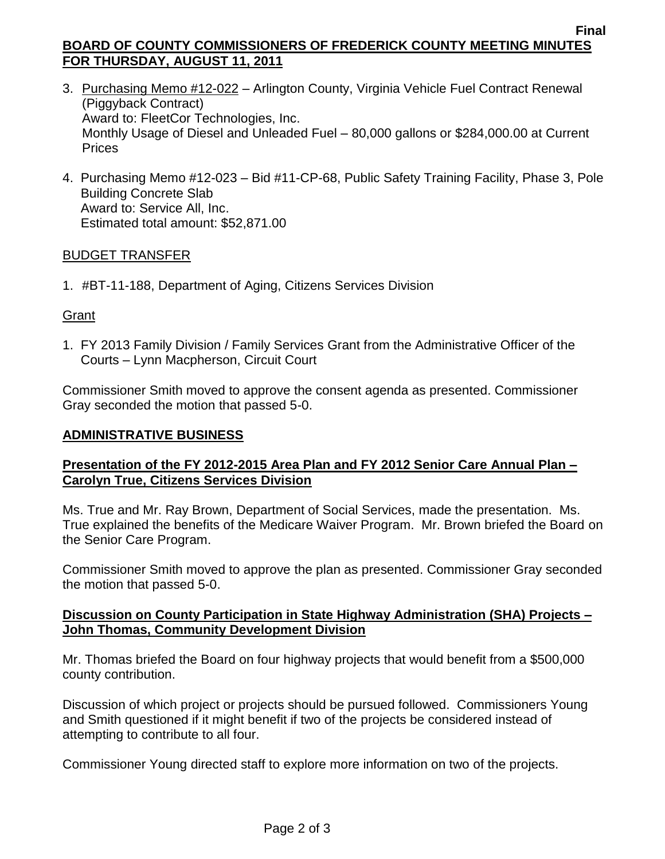#### **Final BOARD OF COUNTY COMMISSIONERS OF FREDERICK COUNTY MEETING MINUTES FOR THURSDAY, AUGUST 11, 2011**

- 3. Purchasing Memo #12-022 Arlington County, Virginia Vehicle Fuel Contract Renewal (Piggyback Contract) Award to: FleetCor Technologies, Inc. Monthly Usage of Diesel and Unleaded Fuel – 80,000 gallons or \$284,000.00 at Current Prices
- 4. Purchasing Memo #12-023 Bid #11-CP-68, Public Safety Training Facility, Phase 3, Pole Building Concrete Slab Award to: Service All, Inc. Estimated total amount: \$52,871.00

#### BUDGET TRANSFER

1. #BT-11-188, Department of Aging, Citizens Services Division

### Grant

1. FY 2013 Family Division / Family Services Grant from the Administrative Officer of the Courts – Lynn Macpherson, Circuit Court

Commissioner Smith moved to approve the consent agenda as presented. Commissioner Gray seconded the motion that passed 5-0.

#### **ADMINISTRATIVE BUSINESS**

## **Presentation of the FY 2012-2015 Area Plan and FY 2012 Senior Care Annual Plan – Carolyn True, Citizens Services Division**

Ms. True and Mr. Ray Brown, Department of Social Services, made the presentation. Ms. True explained the benefits of the Medicare Waiver Program. Mr. Brown briefed the Board on the Senior Care Program.

Commissioner Smith moved to approve the plan as presented. Commissioner Gray seconded the motion that passed 5-0.

### **Discussion on County Participation in State Highway Administration (SHA) Projects – John Thomas, Community Development Division**

Mr. Thomas briefed the Board on four highway projects that would benefit from a \$500,000 county contribution.

Discussion of which project or projects should be pursued followed. Commissioners Young and Smith questioned if it might benefit if two of the projects be considered instead of attempting to contribute to all four.

Commissioner Young directed staff to explore more information on two of the projects.